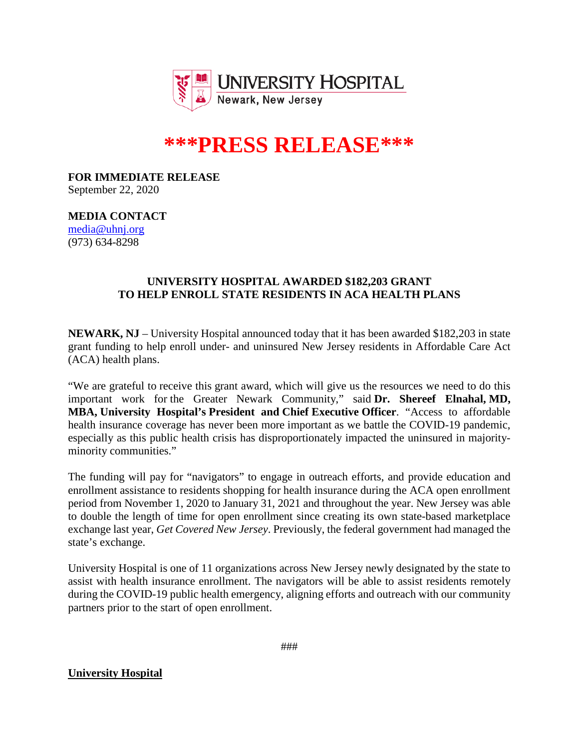

## **\*\*\*PRESS RELEASE\*\*\***

**FOR IMMEDIATE RELEASE** September 22, 2020

**MEDIA CONTACT** [media@uhnj.org](about:blank)  (973) 634-8298

## **UNIVERSITY HOSPITAL AWARDED \$182,203 GRANT TO HELP ENROLL STATE RESIDENTS IN ACA HEALTH PLANS**

**NEWARK, NJ** – University Hospital announced today that it has been awarded \$182,203 in state grant funding to help enroll under- and uninsured New Jersey residents in Affordable Care Act (ACA) health plans.

"We are grateful to receive this grant award, which will give us the resources we need to do this important work for the Greater Newark Community," said **Dr. Shereef Elnahal, MD, MBA, University Hospital's President and Chief Executive Officer**. "Access to affordable health insurance coverage has never been more important as we battle the COVID-19 pandemic, especially as this public health crisis has disproportionately impacted the uninsured in majorityminority communities."

The funding will pay for "navigators" to engage in outreach efforts, and provide education and enrollment assistance to residents shopping for health insurance during the ACA open enrollment period from November 1, 2020 to January 31, 2021 and throughout the year. New Jersey was able to double the length of time for open enrollment since creating its own state-based marketplace exchange last year, *Get Covered New Jersey*. Previously, the federal government had managed the state's exchange.

University Hospital is one of 11 organizations across New Jersey newly designated by the state to assist with health insurance enrollment. The navigators will be able to assist residents remotely during the COVID-19 public health emergency, aligning efforts and outreach with our community partners prior to the start of open enrollment.

###

**University Hospital**